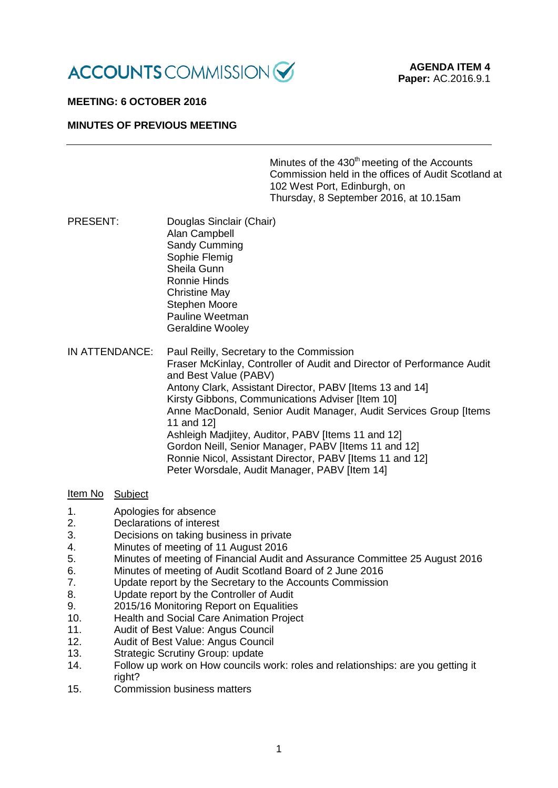

# **MEETING: 6 OCTOBER 2016**

### **MINUTES OF PREVIOUS MEETING**

Minutes of the 430<sup>th</sup> meeting of the Accounts Commission held in the offices of Audit Scotland at 102 West Port, Edinburgh, on Thursday, 8 September 2016, at 10.15am

- PRESENT: Douglas Sinclair (Chair) Alan Campbell Sandy Cumming Sophie Flemig Sheila Gunn Ronnie Hinds Christine May Stephen Moore Pauline Weetman Geraldine Wooley
- IN ATTENDANCE: Paul Reilly, Secretary to the Commission Fraser McKinlay, Controller of Audit and Director of Performance Audit and Best Value (PABV) Antony Clark, Assistant Director, PABV [Items 13 and 14] Kirsty Gibbons, Communications Adviser [Item 10] Anne MacDonald, Senior Audit Manager, Audit Services Group [Items 11 and 12] Ashleigh Madjitey, Auditor, PABV [Items 11 and 12] Gordon Neill, Senior Manager, PABV [Items 11 and 12] Ronnie Nicol, Assistant Director, PABV [Items 11 and 12] Peter Worsdale, Audit Manager, PABV [Item 14]

#### Item No Subject

- 1. Apologies for absence
- 2. Declarations of interest
- 3. Decisions on taking business in private
- 4. Minutes of meeting of 11 August 2016
- 5. Minutes of meeting of Financial Audit and Assurance Committee 25 August 2016<br>6 Minutes of meeting of Audit Scotland Board of 2 June 2016
- 6. Minutes of meeting of Audit Scotland Board of 2 June 2016<br>7. Update report by the Secretary to the Accounts Commission
- 7. Update report by the Secretary to the Accounts Commission
- 8. Update report by the Controller of Audit
- 9. 2015/16 Monitoring Report on Equalities
- 10. Health and Social Care Animation Project
- 11. Audit of Best Value: Angus Council
- 12. Audit of Best Value: Angus Council
- 13. Strategic Scrutiny Group: update
- 14. Follow up work on How councils work: roles and relationships: are you getting it right?
- 15. Commission business matters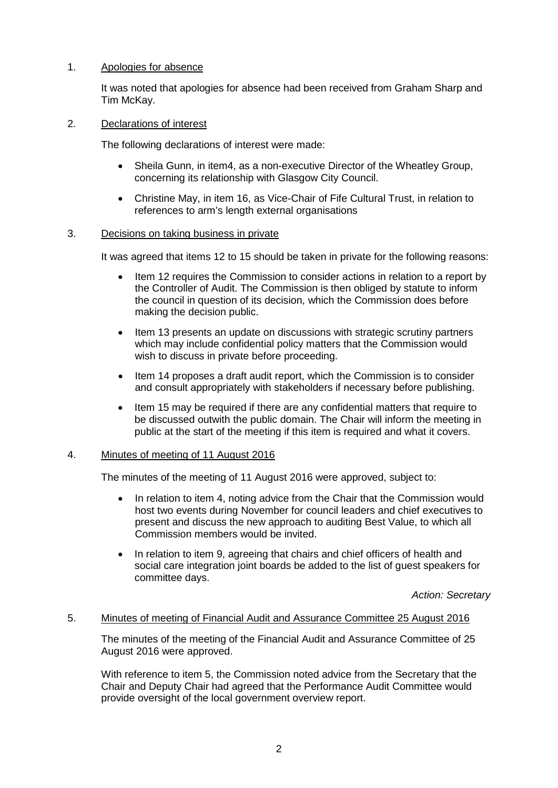# 1. Apologies for absence

It was noted that apologies for absence had been received from Graham Sharp and Tim McKay.

# 2. Declarations of interest

The following declarations of interest were made:

- Sheila Gunn, in item4, as a non-executive Director of the Wheatley Group, concerning its relationship with Glasgow City Council.
- Christine May, in item 16, as Vice-Chair of Fife Cultural Trust, in relation to references to arm's length external organisations

# 3. Decisions on taking business in private

It was agreed that items 12 to 15 should be taken in private for the following reasons:

- Item 12 requires the Commission to consider actions in relation to a report by the Controller of Audit. The Commission is then obliged by statute to inform the council in question of its decision, which the Commission does before making the decision public.
- Item 13 presents an update on discussions with strategic scrutiny partners which may include confidential policy matters that the Commission would wish to discuss in private before proceeding.
- Item 14 proposes a draft audit report, which the Commission is to consider and consult appropriately with stakeholders if necessary before publishing.
- Item 15 may be required if there are any confidential matters that require to be discussed outwith the public domain. The Chair will inform the meeting in public at the start of the meeting if this item is required and what it covers.

#### 4. Minutes of meeting of 11 August 2016

The minutes of the meeting of 11 August 2016 were approved, subject to:

- In relation to item 4, noting advice from the Chair that the Commission would host two events during November for council leaders and chief executives to present and discuss the new approach to auditing Best Value, to which all Commission members would be invited.
- In relation to item 9, agreeing that chairs and chief officers of health and social care integration joint boards be added to the list of guest speakers for committee days.

*Action: Secretary*

#### 5. Minutes of meeting of Financial Audit and Assurance Committee 25 August 2016

The minutes of the meeting of the Financial Audit and Assurance Committee of 25 August 2016 were approved.

With reference to item 5, the Commission noted advice from the Secretary that the Chair and Deputy Chair had agreed that the Performance Audit Committee would provide oversight of the local government overview report.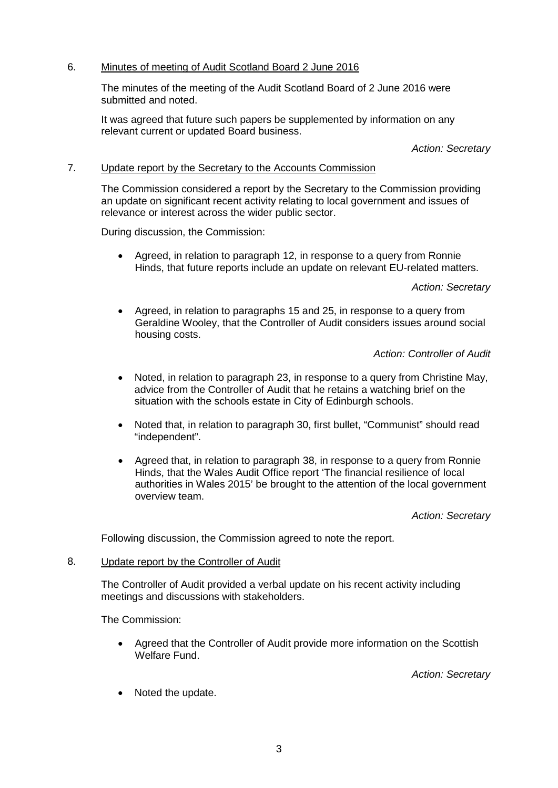# 6. Minutes of meeting of Audit Scotland Board 2 June 2016

The minutes of the meeting of the Audit Scotland Board of 2 June 2016 were submitted and noted.

It was agreed that future such papers be supplemented by information on any relevant current or updated Board business.

#### *Action: Secretary*

# 7. Update report by the Secretary to the Accounts Commission

The Commission considered a report by the Secretary to the Commission providing an update on significant recent activity relating to local government and issues of relevance or interest across the wider public sector.

During discussion, the Commission:

• Agreed, in relation to paragraph 12, in response to a query from Ronnie Hinds, that future reports include an update on relevant EU-related matters.

#### *Action: Secretary*

• Agreed, in relation to paragraphs 15 and 25, in response to a query from Geraldine Wooley, that the Controller of Audit considers issues around social housing costs.

### *Action: Controller of Audit*

- Noted, in relation to paragraph 23, in response to a query from Christine May, advice from the Controller of Audit that he retains a watching brief on the situation with the schools estate in City of Edinburgh schools.
- Noted that, in relation to paragraph 30, first bullet, "Communist" should read "independent".
- Agreed that, in relation to paragraph 38, in response to a query from Ronnie Hinds, that the Wales Audit Office report 'The financial resilience of local authorities in Wales 2015' be brought to the attention of the local government overview team.

#### *Action: Secretary*

Following discussion, the Commission agreed to note the report.

## 8. Update report by the Controller of Audit

The Controller of Audit provided a verbal update on his recent activity including meetings and discussions with stakeholders.

The Commission:

• Agreed that the Controller of Audit provide more information on the Scottish Welfare Fund.

*Action: Secretary*

• Noted the update.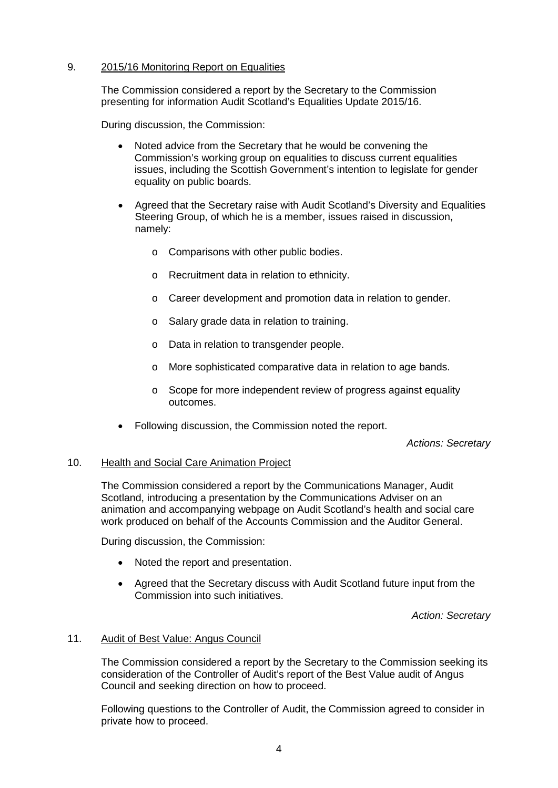# 9. 2015/16 Monitoring Report on Equalities

The Commission considered a report by the Secretary to the Commission presenting for information Audit Scotland's Equalities Update 2015/16.

During discussion, the Commission:

- Noted advice from the Secretary that he would be convening the Commission's working group on equalities to discuss current equalities issues, including the Scottish Government's intention to legislate for gender equality on public boards.
- Agreed that the Secretary raise with Audit Scotland's Diversity and Equalities Steering Group, of which he is a member, issues raised in discussion, namely:
	- o Comparisons with other public bodies.
	- o Recruitment data in relation to ethnicity.
	- o Career development and promotion data in relation to gender.
	- o Salary grade data in relation to training.
	- o Data in relation to transgender people.
	- o More sophisticated comparative data in relation to age bands.
	- o Scope for more independent review of progress against equality outcomes.
- Following discussion, the Commission noted the report.

*Actions: Secretary*

#### 10. Health and Social Care Animation Project

The Commission considered a report by the Communications Manager, Audit Scotland, introducing a presentation by the Communications Adviser on an animation and accompanying webpage on Audit Scotland's health and social care work produced on behalf of the Accounts Commission and the Auditor General.

During discussion, the Commission:

- Noted the report and presentation.
- Agreed that the Secretary discuss with Audit Scotland future input from the Commission into such initiatives.

*Action: Secretary*

#### 11. Audit of Best Value: Angus Council

The Commission considered a report by the Secretary to the Commission seeking its consideration of the Controller of Audit's report of the Best Value audit of Angus Council and seeking direction on how to proceed.

Following questions to the Controller of Audit, the Commission agreed to consider in private how to proceed.